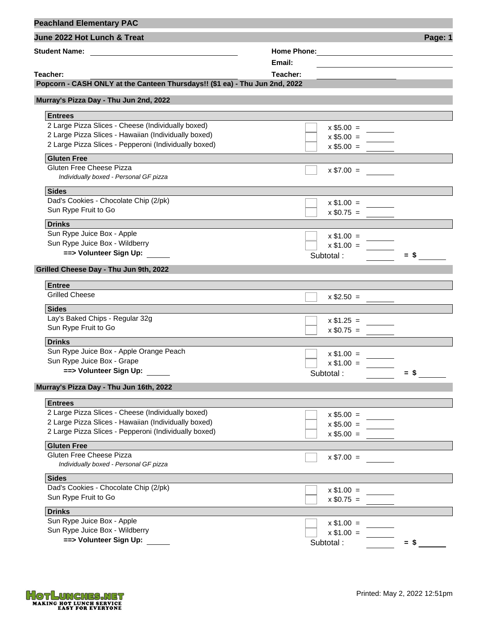| <b>Peachland Elementary PAC</b>                                                                                                               |                |         |
|-----------------------------------------------------------------------------------------------------------------------------------------------|----------------|---------|
| June 2022 Hot Lunch & Treat                                                                                                                   |                | Page: 1 |
| <b>Student Name:</b><br><u> 1989 - Andrea State Barbara, amerikan personal di sebagai personal di sebagai personal di sebagai personal di</u> |                |         |
|                                                                                                                                               | Email:         |         |
| Teacher:                                                                                                                                      | Teacher:       |         |
| Popcorn - CASH ONLY at the Canteen Thursdays!! (\$1 ea) - Thu Jun 2nd, 2022                                                                   |                |         |
| Murray's Pizza Day - Thu Jun 2nd, 2022                                                                                                        |                |         |
| <b>Entrees</b>                                                                                                                                |                |         |
| 2 Large Pizza Slices - Cheese (Individually boxed)                                                                                            | $x$ \$5.00 =   |         |
| 2 Large Pizza Slices - Hawaiian (Individually boxed)                                                                                          | $x $5.00 = \_$ |         |
| 2 Large Pizza Slices - Pepperoni (Individually boxed)                                                                                         | $x $5.00 =$    |         |
| <b>Gluten Free</b>                                                                                                                            |                |         |
| Gluten Free Cheese Pizza<br>Individually boxed - Personal GF pizza                                                                            | $x $7.00 =$    |         |
| <b>Sides</b>                                                                                                                                  |                |         |
| Dad's Cookies - Chocolate Chip (2/pk)                                                                                                         | $x \$1.00 =$   |         |
| Sun Rype Fruit to Go                                                                                                                          | $x $0.75 =$    |         |
| <b>Drinks</b>                                                                                                                                 |                |         |
| Sun Rype Juice Box - Apple                                                                                                                    | $x \$1.00 =$   |         |
| Sun Rype Juice Box - Wildberry                                                                                                                | $x $1.00 =$    |         |
| ==> Volunteer Sign Up:                                                                                                                        | Subtotal:      | $=$ \$  |
| Grilled Cheese Day - Thu Jun 9th, 2022                                                                                                        |                |         |
|                                                                                                                                               |                |         |
| <b>Entree</b><br><b>Grilled Cheese</b>                                                                                                        |                |         |
|                                                                                                                                               |                |         |
| <b>Sides</b>                                                                                                                                  |                |         |
| Lay's Baked Chips - Regular 32g                                                                                                               | $x $1.25 =$    |         |
| Sun Rype Fruit to Go                                                                                                                          | $x $0.75 =$    |         |
| <b>Drinks</b>                                                                                                                                 |                |         |
| Sun Rype Juice Box - Apple Orange Peach                                                                                                       | $x $1.00 =$    |         |
| Sun Rype Juice Box - Grape                                                                                                                    | $x $1.00 =$    |         |
| ==> Volunteer Sign Up:                                                                                                                        | Subtotal:      | $=$ S   |
| Murray's Pizza Day - Thu Jun 16th, 2022                                                                                                       |                |         |
| <b>Entrees</b>                                                                                                                                |                |         |
| 2 Large Pizza Slices - Cheese (Individually boxed)                                                                                            | $x $5.00 =$    |         |
| 2 Large Pizza Slices - Hawaiian (Individually boxed)                                                                                          | $x $5.00 =$    |         |
| 2 Large Pizza Slices - Pepperoni (Individually boxed)                                                                                         | $x $5.00 =$    |         |
| <b>Gluten Free</b>                                                                                                                            |                |         |
| Gluten Free Cheese Pizza                                                                                                                      | $x $7.00 =$    |         |
| Individually boxed - Personal GF pizza                                                                                                        |                |         |
| <b>Sides</b>                                                                                                                                  |                |         |
| Dad's Cookies - Chocolate Chip (2/pk)                                                                                                         | $x$ \$1.00 =   |         |
| Sun Rype Fruit to Go                                                                                                                          | $x $0.75 =$    |         |
| <b>Drinks</b>                                                                                                                                 |                |         |
| Sun Rype Juice Box - Apple                                                                                                                    | $x $1.00 =$    |         |
| Sun Rype Juice Box - Wildberry                                                                                                                | $x $1.00 =$    |         |
| ==> Volunteer Sign Up:                                                                                                                        | Subtotal:      | $=$ \$  |